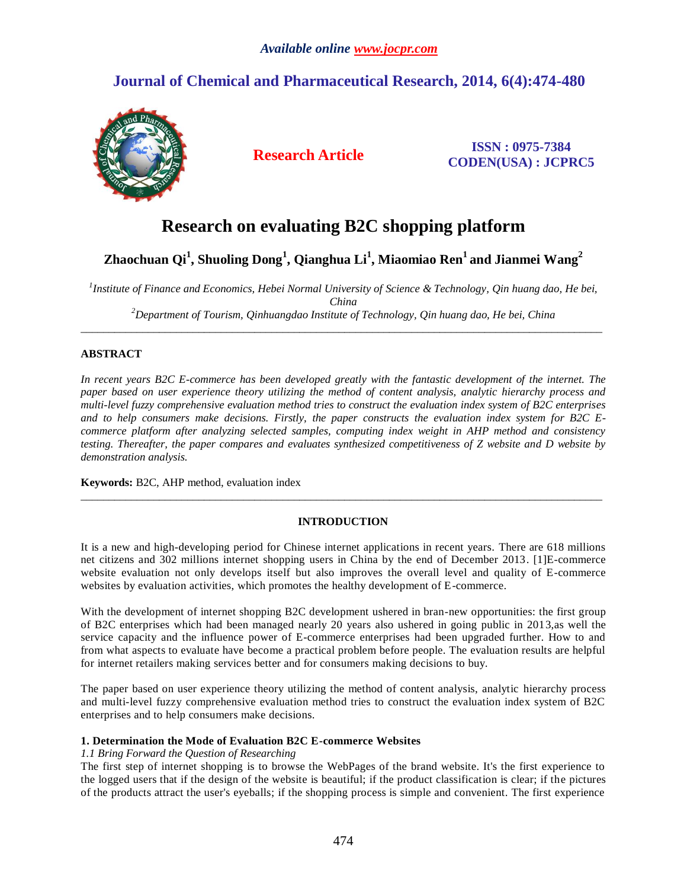## *Available online www.jocpr.com*

# **Journal of Chemical and Pharmaceutical Research, 2014, 6(4):474-480**



**Research Article ISSN : 0975-7384 CODEN(USA) : JCPRC5**

# **Research on evaluating B2C shopping platform**

# **Zhaochuan Qi<sup>1</sup> , Shuoling Dong<sup>1</sup> , Qianghua Li<sup>1</sup> , Miaomiao Ren<sup>1</sup>and Jianmei Wang<sup>2</sup>**

<sup>1</sup> Institute of Finance and Economics, Hebei Normal University of Science & Technology, Qin huang dao, He bei, *China <sup>2</sup>Department of Tourism, Qinhuangdao Institute of Technology, Qin huang dao, He bei, China*

 $\_$  ,  $\_$  ,  $\_$  ,  $\_$  ,  $\_$  ,  $\_$  ,  $\_$  ,  $\_$  ,  $\_$  ,  $\_$  ,  $\_$  ,  $\_$  ,  $\_$  ,  $\_$  ,  $\_$  ,  $\_$  ,  $\_$  ,  $\_$  ,  $\_$  ,  $\_$  ,  $\_$  ,  $\_$  ,  $\_$  ,  $\_$  ,  $\_$  ,  $\_$  ,  $\_$  ,  $\_$  ,  $\_$  ,  $\_$  ,  $\_$  ,  $\_$  ,  $\_$  ,  $\_$  ,  $\_$  ,  $\_$  ,  $\_$  ,

## **ABSTRACT**

*In recent years B2C E-commerce has been developed greatly with the fantastic development of the internet. The paper based on user experience theory utilizing the method of content analysis, analytic hierarchy process and multi-level fuzzy comprehensive evaluation method tries to construct the evaluation index system of B2C enterprises and to help consumers make decisions. Firstly, the paper constructs the evaluation index system for B2C Ecommerce platform after analyzing selected samples, computing index weight in AHP method and consistency testing. Thereafter, the paper compares and evaluates synthesized competitiveness of Z website and D website by demonstration analysis.*

**Keywords:** B2C, AHP method, evaluation index

## **INTRODUCTION**

 $\_$  ,  $\_$  ,  $\_$  ,  $\_$  ,  $\_$  ,  $\_$  ,  $\_$  ,  $\_$  ,  $\_$  ,  $\_$  ,  $\_$  ,  $\_$  ,  $\_$  ,  $\_$  ,  $\_$  ,  $\_$  ,  $\_$  ,  $\_$  ,  $\_$  ,  $\_$  ,  $\_$  ,  $\_$  ,  $\_$  ,  $\_$  ,  $\_$  ,  $\_$  ,  $\_$  ,  $\_$  ,  $\_$  ,  $\_$  ,  $\_$  ,  $\_$  ,  $\_$  ,  $\_$  ,  $\_$  ,  $\_$  ,  $\_$  ,

It is a new and high-developing period for Chinese internet applications in recent years. There are 618 millions net citizens and 302 millions internet shopping users in China by the end of December 2013. [1]E-commerce website evaluation not only develops itself but also improves the overall level and quality of E-commerce websites by evaluation activities, which promotes the healthy development of E-commerce.

With the development of internet shopping B2C development ushered in bran-new opportunities: the first group of B2C enterprises which had been managed nearly 20 years also ushered in going public in 2013,as well the service capacity and the influence power of E-commerce enterprises had been upgraded further. How to and from what aspects to evaluate have become a practical problem before people. The evaluation results are helpful for internet retailers making services better and for consumers making decisions to buy.

The paper based on user experience theory utilizing the method of content analysis, analytic hierarchy process and multi-level fuzzy comprehensive evaluation method tries to construct the evaluation index system of B2C enterprises and to help consumers make decisions.

## **1. Determination the Mode of Evaluation B2C E-commerce Websites**

## *1.1 Bring Forward the Question of Researching*

The first step of internet shopping is to browse the WebPages of the brand website. It's the first experience to the logged users that if the design of the website is beautiful; if the product classification is clear; if the pictures of the products attract the user's eyeballs; if the shopping process is simple and convenient. The first experience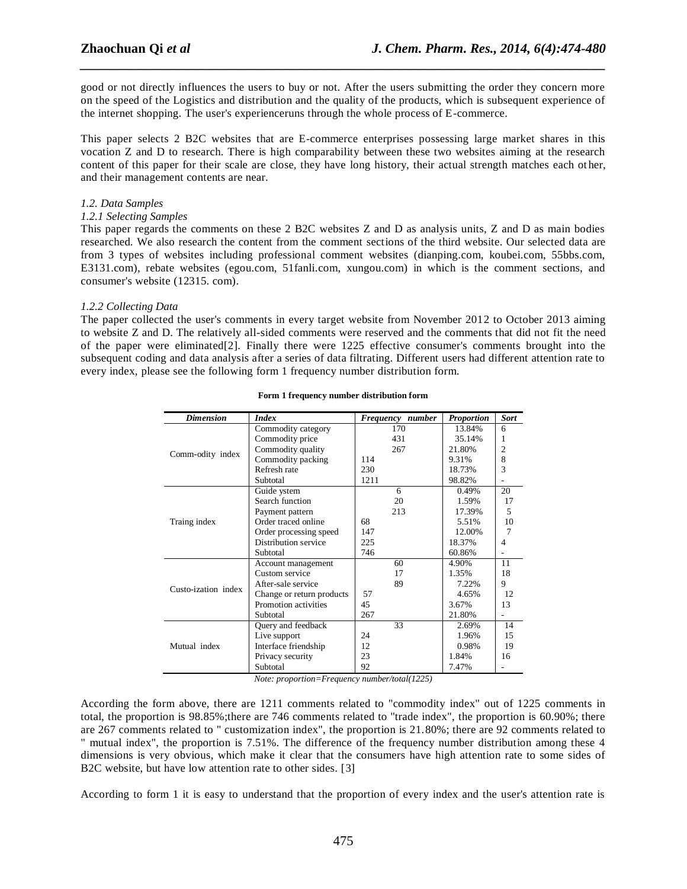good or not directly influences the users to buy or not. After the users submitting the order they concern more on the speed of the Logistics and distribution and the quality of the products, which is subsequent experience of the internet shopping. The user's experienceruns through the whole process of E-commerce.

*\_\_\_\_\_\_\_\_\_\_\_\_\_\_\_\_\_\_\_\_\_\_\_\_\_\_\_\_\_\_\_\_\_\_\_\_\_\_\_\_\_\_\_\_\_\_\_\_\_\_\_\_\_\_\_\_\_\_\_\_\_\_\_\_\_\_\_\_\_\_\_\_\_\_\_\_\_\_*

This paper selects 2 B2C websites that are E-commerce enterprises possessing large market shares in this vocation Z and D to research. There is high comparability between these two websites aiming at the research content of this paper for their scale are close, they have long history, their actual strength matches each ot her, and their management contents are near.

### *1.2. Data Samples*

### *1.2.1 Selecting Samples*

This paper regards the comments on these 2 B2C websites Z and D as analysis units, Z and D as main bodies researched. We also research the content from the comment sections of the third website. Our selected data are from 3 types of websites including professional comment websites (dianping.com, koubei.com, 55bbs.com, E3131.com), rebate websites (egou.com, 51fanli.com, xungou.com) in which is the comment sections, and consumer's website (12315. com).

### *1.2.2 Collecting Data*

The paper collected the user's comments in every target website from November 2012 to October 2013 aiming to website Z and D. The relatively all-sided comments were reserved and the comments that did not fit the need of the paper were eliminated[2]. Finally there were 1225 effective consumer's comments brought into the subsequent coding and data analysis after a series of data filtrating. Different users had different attention rate to every index, please see the following form 1 frequency number distribution form.

| <b>Dimension</b>    | <b>Index</b>              | number<br>Frequency | <b>Proportion</b> | <b>Sort</b>              |
|---------------------|---------------------------|---------------------|-------------------|--------------------------|
|                     | Commodity category        | 170                 | 13.84%            | 6                        |
|                     | Commodity price           | 431                 | 35.14%            |                          |
|                     | Commodity quality         | 267                 | 21.80%            | $\overline{c}$           |
| Comm-odity index    | Commodity packing         | 114                 | 9.31%             | 8                        |
|                     | Refresh rate              | 230                 | 18.73%            | 3                        |
|                     | Subtotal                  | 1211                | 98.82%            |                          |
|                     | Guide ystem               | 6                   | 0.49%             | 20                       |
|                     | Search function           | 20                  | 1.59%             | 17                       |
|                     | Payment pattern           | 213                 | 17.39%            | $\overline{\phantom{0}}$ |
| Traing index        | Order traced online       | 68                  | 5.51%             | 10                       |
|                     | Order processing speed    | 147                 | 12.00%            |                          |
|                     | Distribution service      | 225                 | 18.37%            | 4                        |
|                     | Subtotal                  | 746                 | 60.86%            |                          |
|                     | Account management        | 60                  | 4.90%             | 11                       |
|                     | Custom service            | 17                  | 1.35%             | 18                       |
| Custo-ization index | After-sale service        | 89                  | 7.22%             | 9                        |
|                     | Change or return products | 57                  | 4.65%             | 12                       |
|                     | Promotion activities      | 45                  | 3.67%             | 13                       |
|                     | Subtotal                  | 267                 | 21.80%            |                          |
| Mutual index        | Query and feedback        | 33                  | 2.69%             | 14                       |
|                     | Live support              | 24                  | 1.96%             | 15                       |
|                     | Interface friendship      | 12                  | 0.98%             | 19                       |
|                     | Privacy security          | 23                  | 1.84%             | 16                       |
|                     | Subtotal                  | 92                  | 7.47%             |                          |

#### **Form 1 frequency number distribution form**

*Note: proportion=Frequency number/total(1225)*

According the form above, there are 1211 comments related to "commodity index" out of 1225 comments in total, the proportion is 98.85%;there are 746 comments related to "trade index", the proportion is 60.90%; there are 267 comments related to " customization index", the proportion is 21.80%; there are 92 comments related to " mutual index", the proportion is 7.51%. The difference of the frequency number distribution among these 4 dimensions is very obvious, which make it clear that the consumers have high attention rate to some sides of B2C website, but have low attention rate to other sides. [3]

According to form 1 it is easy to understand that the proportion of every index and the user's attention rate is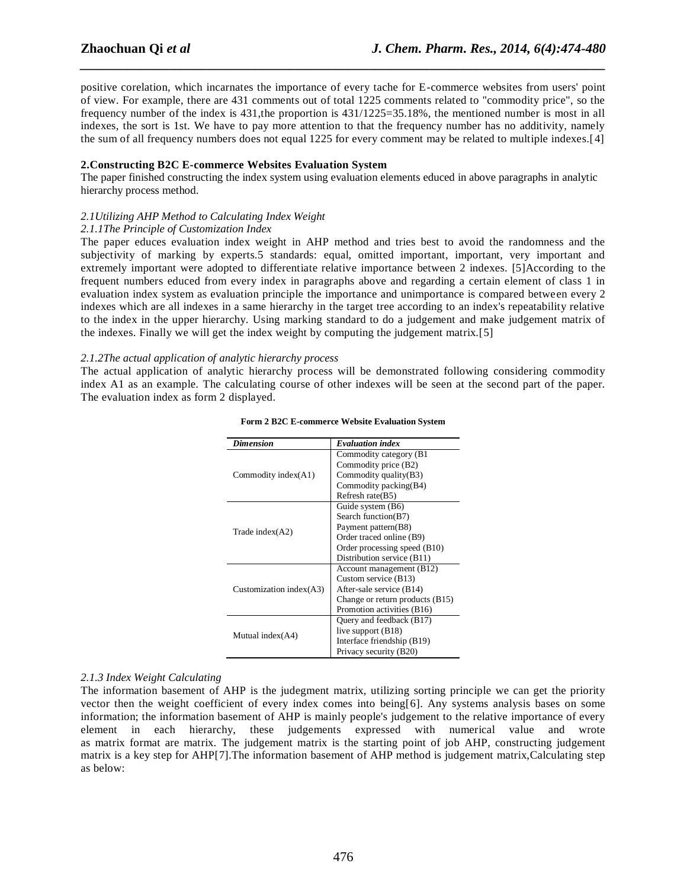positive corelation, which incarnates the importance of every tache for E-commerce websites from users' point of view. For example, there are 431 comments out of total 1225 comments related to "commodity price", so the frequency number of the index is 431,the proportion is 431/1225=35.18%, the mentioned number is most in all indexes, the sort is 1st. We have to pay more attention to that the frequency number has no additivity, namely the sum of all frequency numbers does not equal 1225 for every comment may be related to multiple indexes.[4]

*\_\_\_\_\_\_\_\_\_\_\_\_\_\_\_\_\_\_\_\_\_\_\_\_\_\_\_\_\_\_\_\_\_\_\_\_\_\_\_\_\_\_\_\_\_\_\_\_\_\_\_\_\_\_\_\_\_\_\_\_\_\_\_\_\_\_\_\_\_\_\_\_\_\_\_\_\_\_*

#### **2.Constructing B2C E-commerce Websites Evaluation System**

The paper finished constructing the index system using evaluation elements educed in above paragraphs in analytic hierarchy process method.

### *2.1Utilizing AHP Method to Calculating Index Weight*

#### *2.1.1The Principle of Customization Index*

The paper educes evaluation index weight in AHP method and tries best to avoid the randomness and the subjectivity of marking by experts.5 standards: equal, omitted important, important, very important and extremely important were adopted to differentiate relative importance between 2 indexes. [5]According to the frequent numbers educed from every index in paragraphs above and regarding a certain element of class 1 in evaluation index system as evaluation principle the importance and unimportance is compared between every 2 indexes which are all indexes in a same hierarchy in the target tree according to an index's repeatability relative to the index in the upper hierarchy. Using marking standard to do a judgement and make judgement matrix of the indexes. Finally we will get the index weight by computing the judgement matrix.[5]

#### *2.1.2The actual application of analytic hierarchy process*

The actual application of analytic hierarchy process will be demonstrated following considering commodity index A1 as an example. The calculating course of other indexes will be seen at the second part of the paper. The evaluation index as form 2 displayed.

| <b>Dimension</b>           | <b>Evaluation index</b>         |  |  |
|----------------------------|---------------------------------|--|--|
|                            | Commodity category (B1)         |  |  |
|                            | Commodity price (B2)            |  |  |
| Commodity index(A1)        | Commodity quality(B3)           |  |  |
|                            | Commodity packing (B4)          |  |  |
|                            | Refresh rate(B5)                |  |  |
|                            | Guide system (B6)               |  |  |
|                            | Search function(B7)             |  |  |
| Trade index $(A2)$         | Payment pattern(B8)             |  |  |
|                            | Order traced online (B9)        |  |  |
|                            | Order processing speed (B10)    |  |  |
|                            | Distribution service (B11)      |  |  |
|                            | Account management (B12)        |  |  |
|                            | Custom service (B13)            |  |  |
| Customization index $(A3)$ | After-sale service (B14)        |  |  |
|                            | Change or return products (B15) |  |  |
|                            | Promotion activities (B16)      |  |  |
|                            | Query and feedback (B17)        |  |  |
|                            | live support $(B18)$            |  |  |
| Mutual index(A4)           | Interface friendship (B19)      |  |  |
|                            | Privacy security (B20)          |  |  |

#### **Form 2 B2C E-commerce Website Evaluation System**

#### *2.1.3 Index Weight Calculating*

The information basement of AHP is the judegment matrix, utilizing sorting principle we can get the priority vector then the weight coefficient of every index comes into being[6]. Any systems analysis bases on some information; the information basement of AHP is mainly people's judgement to the relative importance of every element in each hierarchy, these judgements expressed with numerical value and wrote as matrix format are matrix. The judgement matrix is the starting point of job AHP, constructing judgement matrix is a key step for AHP[7]. The information basement of AHP method is judgement matrix, Calculating step as below: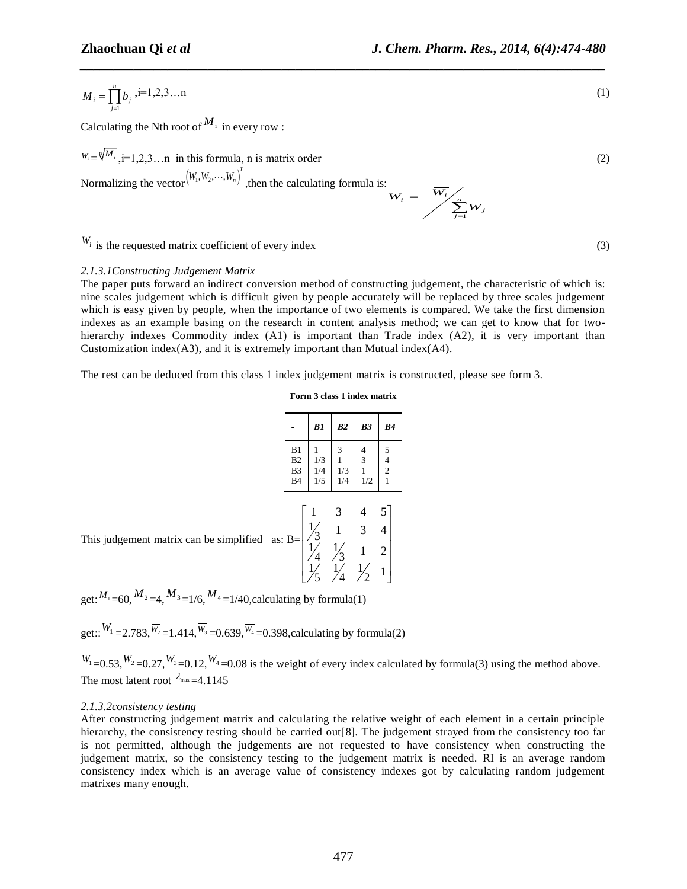$$
M_i = \prod_{j=1}^{n} b_j
$$
 i=1,2,3...n (1)  
\nCalculating the Nth root of <sup>M</sup> i in every row :  
\n $w_i = \sqrt{M_i}$ , i=1,2,3...n in this formula, n is matrix order  
\n $W_i = \sqrt{M_i}$  [1,1,2,3...n] (2)  
\n $W_i$  is the requested matrix coefficient of every index  
\n $2.1.3.1$  *Constracting tudgement Matrix* coefficient of every index  
\n $2.1.3.1$  *Cosstracting tudgement Matrix* coefficient of every index  
\n $2.1.3.1$  *Cosstracting tudgement Matrix* coefficient of every index  
\n $2.1.3.1$  *Cosstracting tudgement Matrix* coefficient of the characteristic of which is:  
\n $2.1.3.1$  *Cosstracting tudgement Matrix* coefficient in countent analysis method; we can get to know that for two-  
\n $2.1.3.1$  *Cosstraining 1.3 Cosymmetry in the second* in the next term of the elements of two elements in some *1* matrix is constructed.  
\n $2.1.3.1$  *Cosstraining Cosymoly* higher than the correct in the context in the context in the context, is constructed, we can get to know that for two-  
\n $2.1.3$  *Cosymization* index (A3), and it is extremely important than *2* matrix is constructed, *2 D 2 D 2 D D D D D D D D D D D D D D D D D D D D D D D D D D D D D D D D D D D D D D D D*

*\_\_\_\_\_\_\_\_\_\_\_\_\_\_\_\_\_\_\_\_\_\_\_\_\_\_\_\_\_\_\_\_\_\_\_\_\_\_\_\_\_\_\_\_\_\_\_\_\_\_\_\_\_\_\_\_\_\_\_\_\_\_\_\_\_\_\_\_\_\_\_\_\_\_\_\_\_\_*

 $W_i$  is the requested matrix coefficient of every index (3)

### *2.1.3.1Constructing Judgement Matrix*

The paper puts forward an indirect conversion method of constructing judgement, the characteristic of which is: nine scales judgement which is difficult given by people accurately will be replaced by three scales judgement which is easy given by people, when the importance of two elements is compared. We take the first dimension indexes as an example basing on the research in content analysis method; we can get to know that for twohierarchy indexes Commodity index (A1) is important than Trade index (A2), it is very important than Customization index(A3), and it is extremely important than Mutual index(A4).

The rest can be deduced from this class 1 index judgement matrix is constructed, please see form 3.

**Form 3 class 1 index matrix**

|                                                     | B1                     | B2                     | B <sub>3</sub>                                | B <sub>4</sub>                                               |
|-----------------------------------------------------|------------------------|------------------------|-----------------------------------------------|--------------------------------------------------------------|
| B1<br>B <sub>2</sub><br>B <sub>3</sub><br><b>B4</b> | 1<br>1/3<br>1/4<br>1/5 | 3<br>1<br>1/3<br>1/4   | $\frac{4}{3}$<br>$\mathbf{1}$<br>1/2          | $\begin{array}{c} 5 \\ 4 \\ 2 \end{array}$<br>$\overline{1}$ |
| as: B=                                              | $\mathbf{1}$<br>4      | 3<br>$\mathbf{1}$<br>3 | $\overline{\mathcal{L}}$<br>3<br>$\mathbf{1}$ | 5<br>$\overline{4}$<br>$\overline{c}$<br>1                   |

This judgement matrix can be simplified as

get:  $M_1$  = 60,  $M_2$  = 4,  $M_3$  = 1/6,  $M_4$  = 1/40, calculating by formula(1)

get::  $W_1 = 2.783, \overline{W_2} = 1.414, \overline{W_3} = 0.639, \overline{W_4} = 0.398$ , calculating by formula(2)

 $W_1 = 0.53, W_2 = 0.27, W_3 = 0.12, W_4 = 0.08$  is the weight of every index calculated by formula(3) using the method above. The most latent root  $\lambda_{\text{max}}=4.1145$ 

#### *2.1.3.2consistency testing*

After constructing judgement matrix and calculating the relative weight of each element in a certain principle hierarchy, the consistency testing should be carried out [8]. The judgement strayed from the consistency too far is not permitted, although the judgements are not requested to have consistency when constructing the judgement matrix, so the consistency testing to the judgement matrix is needed. RI is an average random consistency index which is an average value of consistency indexes got by calculating random judgement matrixes many enough.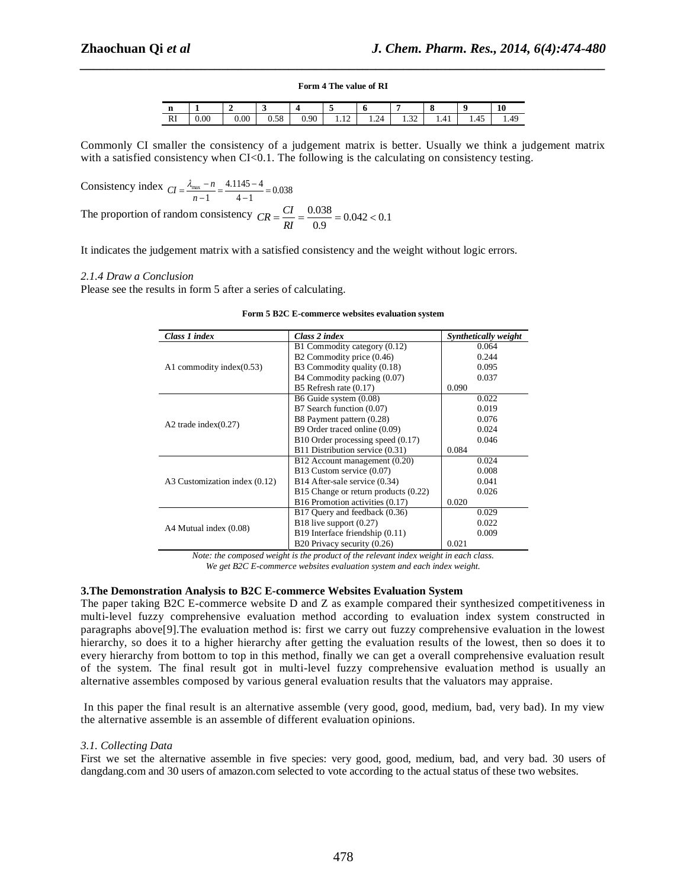# *\_\_\_\_\_\_\_\_\_\_\_\_\_\_\_\_\_\_\_\_\_\_\_\_\_\_\_\_\_\_\_\_\_\_\_\_\_\_\_\_\_\_\_\_\_\_\_\_\_\_\_\_\_\_\_\_\_\_\_\_\_\_\_\_\_\_\_\_\_\_\_\_\_\_\_\_\_\_* **Form 4 The value of RI**

| m<br>п  |           |      |      |      | $\overline{\phantom{a}}$ |      |                |      |             | 10   |
|---------|-----------|------|------|------|--------------------------|------|----------------|------|-------------|------|
| DI<br>M | $_{0.00}$ | 0.00 | 0.58 | 0.90 | $\sim$ $\sim$<br>.       | 1.24 | $\sim$<br>1.34 | 1.41 | . .<br>1.45 | 1.49 |

Commonly CI smaller the consistency of a judgement matrix is better. Usually we think a judgement matrix with a satisfied consistency when  $CI < 0.1$ . The following is the calculating on consistency testing.

Consistency index  $CI = \frac{\lambda_{\text{max}} - n}{n - 1} = \frac{4.1145 - 4}{4 - 1} = 0.038$  $4.1145 - 4$  $\frac{n}{n-1} = \frac{4.1143}{4-1} = 0$  $\frac{-n}{-1} = \frac{4.1145 - 4}{-1}$  $CI = \frac{\lambda_{\text{max}} - n}{n - 1}$ 

The proportion of random consistency  $CR = \frac{CI}{RI} = \frac{0.038}{0.9} = 0.042 < 0.1$  $CR = \frac{CI}{RI} = \frac{0.038}{0.9} = 0.042 <$ 

It indicates the judgement matrix with a satisfied consistency and the weight without logic errors.

#### *2.1.4 Draw a Conclusion*

Please see the results in form 5 after a series of calculating.

| Class 1 index                 | Class 2 index                        | Synthetically weight |
|-------------------------------|--------------------------------------|----------------------|
|                               | B1 Commodity category (0.12)         | 0.064                |
|                               | B2 Commodity price (0.46)            | 0.244                |
| A1 commodity index $(0.53)$   | B3 Commodity quality (0.18)          | 0.095                |
|                               | B4 Commodity packing (0.07)          | 0.037                |
|                               | B5 Refresh rate $(0.17)$             | 0.090                |
|                               | B6 Guide system (0.08)               | 0.022                |
|                               | B7 Search function (0.07)            | 0.019                |
| A2 trade index $(0.27)$       | B8 Payment pattern (0.28)            | 0.076                |
|                               | B9 Order traced online (0.09)        | 0.024                |
|                               | B10 Order processing speed (0.17)    | 0.046                |
|                               | B11 Distribution service (0.31)      | 0.084                |
|                               | B12 Account management (0.20)        | 0.024                |
|                               | B13 Custom service (0.07)            | 0.008                |
| A3 Customization index (0.12) | B14 After-sale service (0.34)        | 0.041                |
|                               | B15 Change or return products (0.22) | 0.026                |
|                               | B16 Promotion activities (0.17)      | 0.020                |
|                               | B17 Ouery and feedback (0.36)        | 0.029                |
|                               | B18 live support $(0.27)$            | 0.022                |
| A4 Mutual index (0.08)        | B19 Interface friendship (0.11)      | 0.009                |
|                               | B20 Privacy security (0.26)          | 0.021                |

| Form 5 B2C E-commerce websites evaluation system |
|--------------------------------------------------|
|--------------------------------------------------|

*Note: the composed weight is the product of the relevant index weight in each class. We get B2C E-commerce websites evaluation system and each index weight.*

#### **3.The Demonstration Analysis to B2C E-commerce Websites Evaluation System**

The paper taking B2C E-commerce website D and Z as example compared their synthesized competitiveness in multi-level fuzzy comprehensive evaluation method according to evaluation index system constructed in paragraphs above[9].The evaluation method is: first we carry out fuzzy comprehensive evaluation in the lowest hierarchy, so does it to a higher hierarchy after getting the evaluation results of the lowest, then so does it to every hierarchy from bottom to top in this method, finally we can get a overall comprehensive evaluation result of the system. The final result got in multi-level fuzzy comprehensive evaluation method is usually an alternative assembles composed by various general evaluation results that the valuators may appraise.

In this paper the final result is an alternative assemble (very good, good, medium, bad, very bad). In my view the alternative assemble is an assemble of different evaluation opinions.

#### *3.1. Collecting Data*

First we set the alternative assemble in five species: very good, good, medium, bad, and very bad. 30 users of dangdang.com and 30 users of amazon.com selected to vote according to the actual status of these two websites.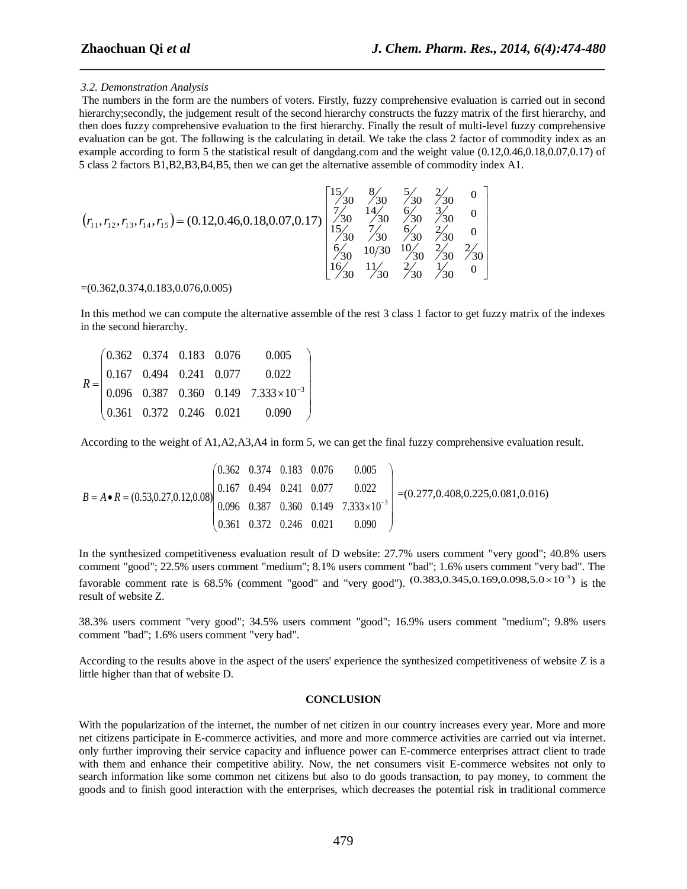#### *3.2. Demonstration Analysis*

The numbers in the form are the numbers of voters. Firstly, fuzzy comprehensive evaluation is carried out in second hierarchy;secondly, the judgement result of the second hierarchy constructs the fuzzy matrix of the first hierarchy, and then does fuzzy comprehensive evaluation to the first hierarchy. Finally the result of multi-level fuzzy comprehensive evaluation can be got. The following is the calculating in detail. We take the class 2 factor of commodity index as an example according to form 5 the statistical result of dangdang.com and the weight value (0.12,0.46,0.18,0.07,0.17) of 5 class 2 factors B1,B2,B3,B4,B5, then we can get the alternative assemble of commodity index A1.

*\_\_\_\_\_\_\_\_\_\_\_\_\_\_\_\_\_\_\_\_\_\_\_\_\_\_\_\_\_\_\_\_\_\_\_\_\_\_\_\_\_\_\_\_\_\_\_\_\_\_\_\_\_\_\_\_\_\_\_\_\_\_\_\_\_\_\_\_\_\_\_\_\_\_\_\_\_\_*

$$
(r_{11}, r_{12}, r_{13}, r_{14}, r_{15}) = (0.12, 0.46, 0.18, 0.07, 0.17) \begin{bmatrix} 15/3 & 8/3 & 5/3 & 2/30 & 0 \\ 7/30 & 14/30 & 6/30 & 3/30 & 0 \\ 15/30 & 7/30 & 6/30 & 2/30 & 0 \\ 5/30 & 7/30 & 6/30 & 2/30 & 0 \\ 6/30 & 10/30 & 10/30 & 2/30 & 2/30 \\ 16/30 & 1/30 & 2/30 & 7/30 & 0 \end{bmatrix}
$$

#### $=(0.362, 0.374, 0.183, 0.076, 0.005)$

In this method we can compute the alternative assemble of the rest 3 class 1 factor to get fuzzy matrix of the indexes in the second hierarchy.

|  |  | $R = \begin{pmatrix} 0.362 & 0.374 & 0.183 & 0.076 & 0.005 \\ 0.167 & 0.494 & 0.241 & 0.077 & 0.022 \\ 0.096 & 0.387 & 0.360 & 0.149 & 7.333 \times 10^{-3} \\ 0.361 & 0.372 & 0.246 & 0.021 & 0.090 \end{pmatrix}$ |
|--|--|---------------------------------------------------------------------------------------------------------------------------------------------------------------------------------------------------------------------|
|  |  |                                                                                                                                                                                                                     |

According to the weight of A1,A2,A3,A4 in form 5, we can get the final fuzzy comprehensive evaluation result.

$$
B = A \cdot R = (0.53, 0.27, 0.12, 0.08) \begin{pmatrix} 0.362 & 0.374 & 0.183 & 0.076 & 0.005 \\ 0.167 & 0.494 & 0.241 & 0.077 & 0.022 \\ 0.096 & 0.387 & 0.360 & 0.149 & 7.333 \times 10^{-3} \\ 0.361 & 0.372 & 0.246 & 0.021 & 0.090 \end{pmatrix} = (0.277, 0.408, 0.225, 0.081, 0.016)
$$

In the synthesized competitiveness evaluation result of D website: 27.7% users comment "very good"; 40.8% users comment "good"; 22.5% users comment "medium"; 8.1% users comment "bad"; 1.6% users comment "very bad". The favorable comment rate is 68.5% (comment "good" and "very good").  $(0.383, 0.345, 0.169, 0.098, 5.0 \times 10^{-3})$  is the result of website Z.

38.3% users comment "very good"; 34.5% users comment "good"; 16.9% users comment "medium"; 9.8% users comment "bad"; 1.6% users comment "very bad".

According to the results above in the aspect of the users' experience the synthesized competitiveness of website Z is a little higher than that of website D.

#### **CONCLUSION**

With the popularization of the internet, the number of net citizen in our country increases every year. More and more net citizens participate in E-commerce activities, and more and more commerce activities are carried out via internet. only further improving their service capacity and influence power can E-commerce enterprises attract client to trade with them and enhance their competitive ability. Now, the net consumers visit E-commerce websites not only to search information like some common net citizens but also to do goods transaction, to pay money, to comment the goods and to finish good interaction with the enterprises, which decreases the [potential risk](http://www.iciba.com/potential_risk) in traditional commerce